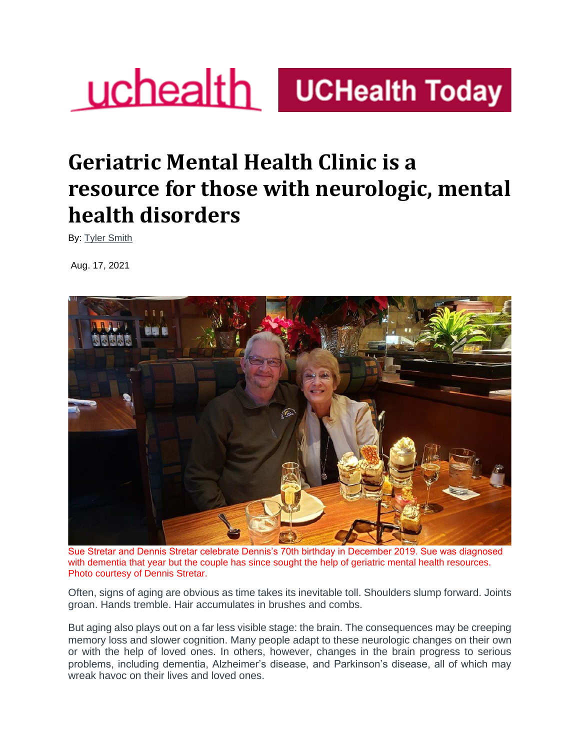# **UChealth** UCHealth Today

## **Geriatric Mental Health Clinic is a resource for those with neurologic, mental health disorders**

By: [Tyler Smith](https://www.uchealth.org/today/author/smiths3/)

Aug. 17, 2021



Sue Stretar and Dennis Stretar celebrate Dennis's 70th birthday in December 2019. Sue was diagnosed with dementia that year but the couple has since sought the help of geriatric mental health resources. Photo courtesy of Dennis Stretar.

Often, signs of aging are obvious as time takes its inevitable toll. Shoulders slump forward. Joints groan. Hands tremble. Hair accumulates in brushes and combs.

But aging also plays out on a far less visible stage: the brain. The consequences may be creeping memory loss and slower cognition. Many people adapt to these neurologic changes on their own or with the help of loved ones. In others, however, changes in the brain progress to serious problems, including dementia, Alzheimer's disease, and Parkinson's disease, all of which may wreak havoc on their lives and loved ones.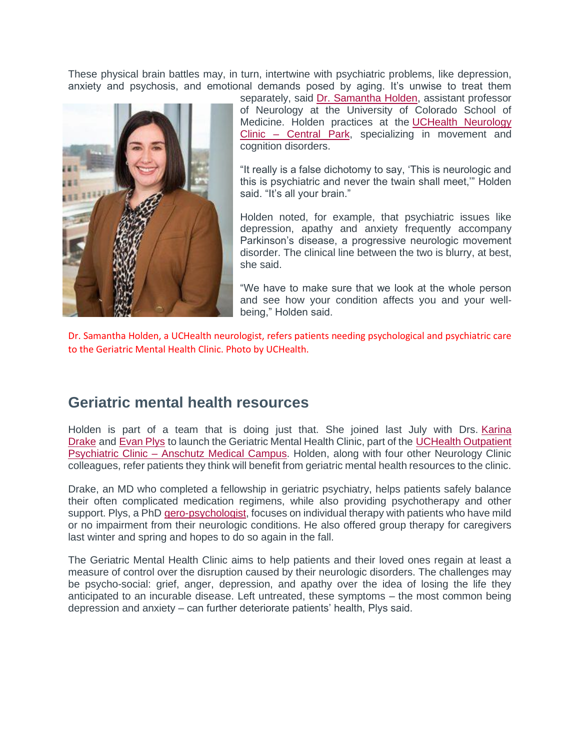These physical brain battles may, in turn, intertwine with psychiatric problems, like depression, anxiety and psychosis, and emotional demands posed by aging. It's unwise to treat them



separately, said [Dr. Samantha Holden,](https://www.uchealth.org/provider/samantha-holden-md-neurology/) assistant professor of Neurology at the University of Colorado School of Medicine. Holden practices at the [UCHealth Neurology](https://www.uchealth.org/locations/uchealth-neurology-clinic-central-park/)  Clinic – [Central Park,](https://www.uchealth.org/locations/uchealth-neurology-clinic-central-park/) specializing in movement and cognition disorders.

"It really is a false dichotomy to say, 'This is neurologic and this is psychiatric and never the twain shall meet,'" Holden said. "It's all your brain."

Holden noted, for example, that psychiatric issues like depression, apathy and anxiety frequently accompany Parkinson's disease, a progressive neurologic movement disorder. The clinical line between the two is blurry, at best, she said.

"We have to make sure that we look at the whole person and see how your condition affects you and your wellbeing," Holden said.

Dr. Samantha Holden, a UCHealth neurologist, refers patients needing psychological and psychiatric care to the Geriatric Mental Health Clinic. Photo by UCHealth.

## **Geriatric mental health resources**

Holden is part of a team that is doing just that. She joined last July with Drs. [Karina](https://www.cumedicine.us/providers/psychiatry/karina-drake)  [Drake](https://www.cumedicine.us/providers/psychiatry/karina-drake) and [Evan Plys](https://som.ucdenver.edu/Profiles/Faculty/Profile/32765) to launch the Geriatric Mental Health Clinic, part of the [UCHealth Outpatient](https://www.uchealth.org/locations/uchealth-psychiatric-services-outpatient-anschutz/)  Psychiatric Clinic – [Anschutz Medical Campus.](https://www.uchealth.org/locations/uchealth-psychiatric-services-outpatient-anschutz/) Holden, along with four other Neurology Clinic colleagues, refer patients they think will benefit from geriatric mental health resources to the clinic.

Drake, an MD who completed a fellowship in geriatric psychiatry, helps patients safely balance their often complicated medication regimens, while also providing psychotherapy and other support. Plys, a PhD [gero-psychologist,](https://www.apa.org/ed/graduate/specialize/geropsychology) focuses on individual therapy with patients who have mild or no impairment from their neurologic conditions. He also offered group therapy for caregivers last winter and spring and hopes to do so again in the fall.

The Geriatric Mental Health Clinic aims to help patients and their loved ones regain at least a measure of control over the disruption caused by their neurologic disorders. The challenges may be psycho-social: grief, anger, depression, and apathy over the idea of losing the life they anticipated to an incurable disease. Left untreated, these symptoms – the most common being depression and anxiety – can further deteriorate patients' health, Plys said.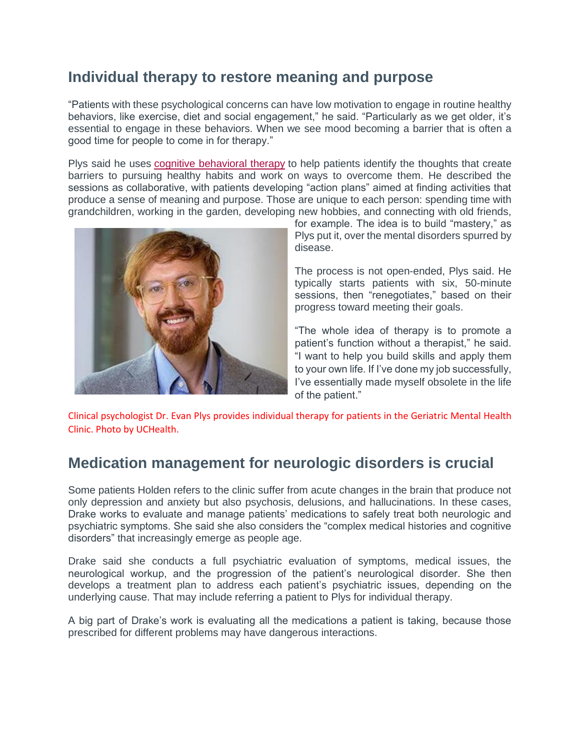## **Individual therapy to restore meaning and purpose**

"Patients with these psychological concerns can have low motivation to engage in routine healthy behaviors, like exercise, diet and social engagement," he said. "Particularly as we get older, it's essential to engage in these behaviors. When we see mood becoming a barrier that is often a good time for people to come in for therapy."

Plys said he uses [cognitive behavioral therapy](https://www.apa.org/ptsd-guideline/patients-and-families/cognitive-behavioral) to help patients identify the thoughts that create barriers to pursuing healthy habits and work on ways to overcome them. He described the sessions as collaborative, with patients developing "action plans" aimed at finding activities that produce a sense of meaning and purpose. Those are unique to each person: spending time with grandchildren, working in the garden, developing new hobbies, and connecting with old friends,



for example. The idea is to build "mastery," as Plys put it, over the mental disorders spurred by disease.

The process is not open-ended, Plys said. He typically starts patients with six, 50-minute sessions, then "renegotiates," based on their progress toward meeting their goals.

"The whole idea of therapy is to promote a patient's function without a therapist," he said. "I want to help you build skills and apply them to your own life. If I've done my job successfully, I've essentially made myself obsolete in the life of the patient."

Clinical psychologist Dr. Evan Plys provides individual therapy for patients in the Geriatric Mental Health Clinic. Photo by UCHealth.

## **Medication management for neurologic disorders is crucial**

Some patients Holden refers to the clinic suffer from acute changes in the brain that produce not only depression and anxiety but also psychosis, delusions, and hallucinations. In these cases, Drake works to evaluate and manage patients' medications to safely treat both neurologic and psychiatric symptoms. She said she also considers the "complex medical histories and cognitive disorders" that increasingly emerge as people age.

Drake said she conducts a full psychiatric evaluation of symptoms, medical issues, the neurological workup, and the progression of the patient's neurological disorder. She then develops a treatment plan to address each patient's psychiatric issues, depending on the underlying cause. That may include referring a patient to Plys for individual therapy.

A big part of Drake's work is evaluating all the medications a patient is taking, because those prescribed for different problems may have dangerous interactions.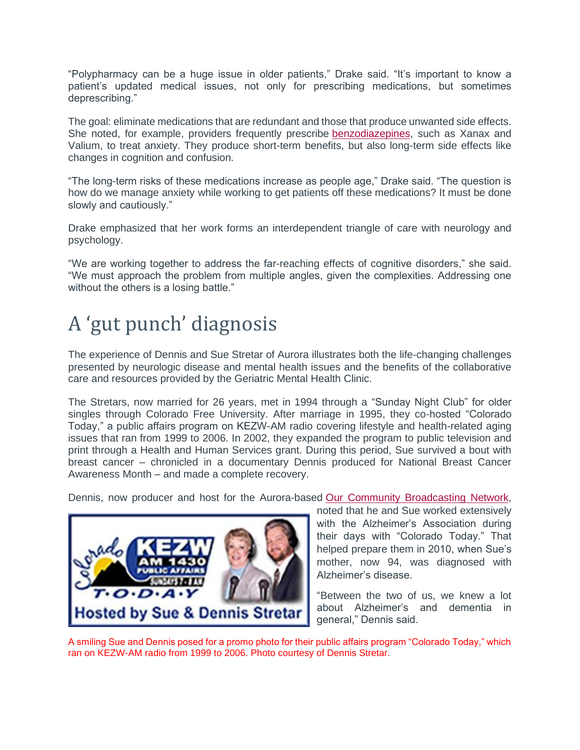"Polypharmacy can be a huge issue in older patients," Drake said. "It's important to know a patient's updated medical issues, not only for prescribing medications, but sometimes deprescribing."

The goal: eliminate medications that are redundant and those that produce unwanted side effects. She noted, for example, providers frequently prescribe [benzodiazepines,](https://www.rxlist.com/benzodiazepines/drug-class.htm) such as Xanax and Valium, to treat anxiety. They produce short-term benefits, but also long-term side effects like changes in cognition and confusion.

"The long-term risks of these medications increase as people age," Drake said. "The question is how do we manage anxiety while working to get patients off these medications? It must be done slowly and cautiously."

Drake emphasized that her work forms an interdependent triangle of care with neurology and psychology.

"We are working together to address the far-reaching effects of cognitive disorders," she said. "We must approach the problem from multiple angles, given the complexities. Addressing one without the others is a losing battle."

## A 'gut punch' diagnosis

The experience of Dennis and Sue Stretar of Aurora illustrates both the life-changing challenges presented by neurologic disease and mental health issues and the benefits of the collaborative care and resources provided by the Geriatric Mental Health Clinic.

The Stretars, now married for 26 years, met in 1994 through a "Sunday Night Club" for older singles through Colorado Free University. After marriage in 1995, they co-hosted "Colorado Today," a public affairs program on KEZW-AM radio covering lifestyle and health-related aging issues that ran from 1999 to 2006. In 2002, they expanded the program to public television and print through a Health and Human Services grant. During this period, Sue survived a bout with breast cancer – chronicled in a documentary Dennis produced for National Breast Cancer Awareness Month – and made a complete recovery.

Dennis, now producer and host for the Aurora-based [Our Community Broadcasting Network,](https://www.our-community.net/about/)



noted that he and Sue worked extensively with the Alzheimer's Association during their days with "Colorado Today." That helped prepare them in 2010, when Sue's mother, now 94, was diagnosed with Alzheimer's disease.

"Between the two of us, we knew a lot about Alzheimer's and dementia in general," Dennis said.

A smiling Sue and Dennis posed for a promo photo for their public affairs program "Colorado Today," which ran on KEZW-AM radio from 1999 to 2006. Photo courtesy of Dennis Stretar.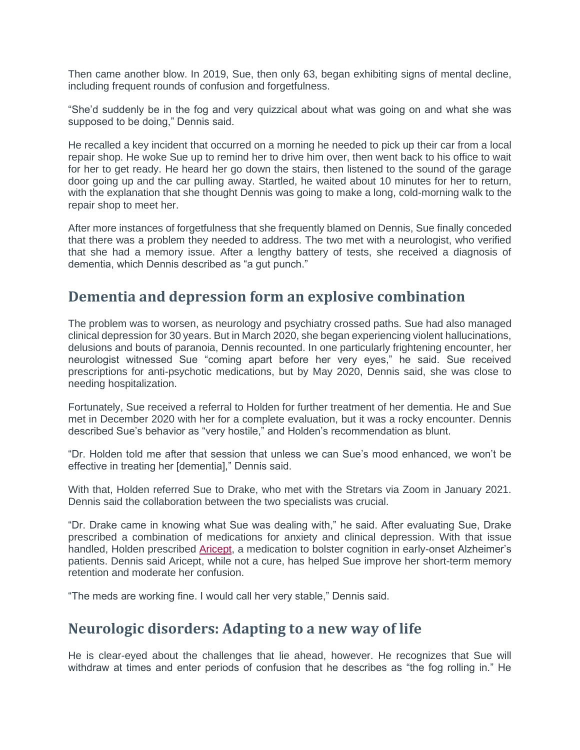Then came another blow. In 2019, Sue, then only 63, began exhibiting signs of mental decline, including frequent rounds of confusion and forgetfulness.

"She'd suddenly be in the fog and very quizzical about what was going on and what she was supposed to be doing," Dennis said.

He recalled a key incident that occurred on a morning he needed to pick up their car from a local repair shop. He woke Sue up to remind her to drive him over, then went back to his office to wait for her to get ready. He heard her go down the stairs, then listened to the sound of the garage door going up and the car pulling away. Startled, he waited about 10 minutes for her to return, with the explanation that she thought Dennis was going to make a long, cold-morning walk to the repair shop to meet her.

After more instances of forgetfulness that she frequently blamed on Dennis, Sue finally conceded that there was a problem they needed to address. The two met with a neurologist, who verified that she had a memory issue. After a lengthy battery of tests, she received a diagnosis of dementia, which Dennis described as "a gut punch."

### **Dementia and depression form an explosive combination**

The problem was to worsen, as neurology and psychiatry crossed paths. Sue had also managed clinical depression for 30 years. But in March 2020, she began experiencing violent hallucinations, delusions and bouts of paranoia, Dennis recounted. In one particularly frightening encounter, her neurologist witnessed Sue "coming apart before her very eyes," he said. Sue received prescriptions for anti-psychotic medications, but by May 2020, Dennis said, she was close to needing hospitalization.

Fortunately, Sue received a referral to Holden for further treatment of her dementia. He and Sue met in December 2020 with her for a complete evaluation, but it was a rocky encounter. Dennis described Sue's behavior as "very hostile," and Holden's recommendation as blunt.

"Dr. Holden told me after that session that unless we can Sue's mood enhanced, we won't be effective in treating her [dementia]," Dennis said.

With that, Holden referred Sue to Drake, who met with the Stretars via Zoom in January 2021. Dennis said the collaboration between the two specialists was crucial.

"Dr. Drake came in knowing what Sue was dealing with," he said. After evaluating Sue, Drake prescribed a combination of medications for anxiety and clinical depression. With that issue handled, Holden prescribed [Aricept,](https://www.rxlist.com/aricept-drug.htm) a medication to bolster cognition in early-onset Alzheimer's patients. Dennis said Aricept, while not a cure, has helped Sue improve her short-term memory retention and moderate her confusion.

"The meds are working fine. I would call her very stable," Dennis said.

#### **Neurologic disorders: Adapting to a new way of life**

He is clear-eyed about the challenges that lie ahead, however. He recognizes that Sue will withdraw at times and enter periods of confusion that he describes as "the fog rolling in." He